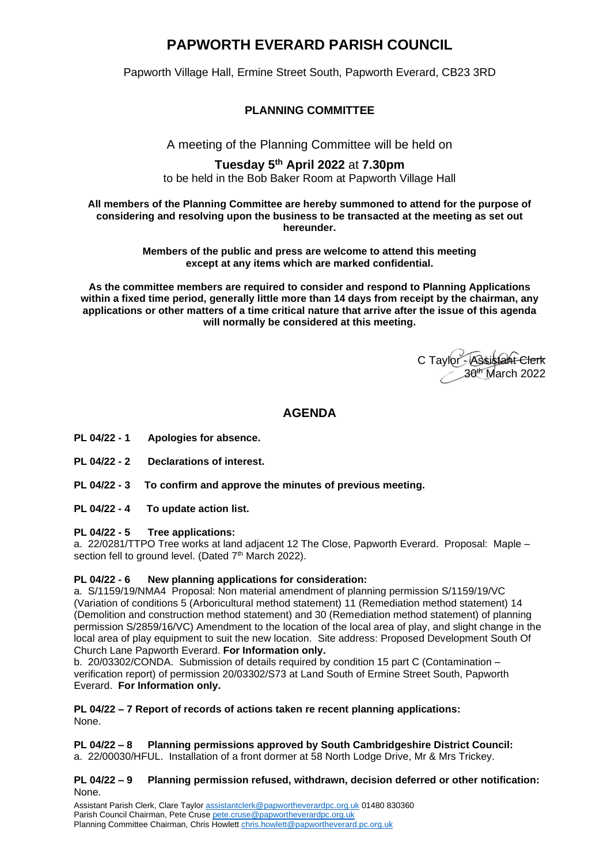## **PAPWORTH EVERARD PARISH COUNCIL**

Papworth Village Hall, Ermine Street South, Papworth Everard, CB23 3RD

## **PLANNING COMMITTEE**

A meeting of the Planning Committee will be held on

# **Tuesday 5 th April 2022** at **7.30pm**

to be held in the Bob Baker Room at Papworth Village Hall

#### **All members of the Planning Committee are hereby summoned to attend for the purpose of considering and resolving upon the business to be transacted at the meeting as set out hereunder.**

**Members of the public and press are welcome to attend this meeting except at any items which are marked confidential.**

**As the committee members are required to consider and respond to Planning Applications within a fixed time period, generally little more than 14 days from receipt by the chairman, any applications or other matters of a time critical nature that arrive after the issue of this agenda will normally be considered at this meeting.**

C Taylor - Assistant Clerk 30th March 2022

## **AGENDA**

- **PL 04/22 - 1 Apologies for absence.**
- **PL 04/22 - 2 Declarations of interest.**
- **PL 04/22 - 3 To confirm and approve the minutes of previous meeting.**
- **PL 04/22 - 4 To update action list.**

#### **PL 04/22 - 5 Tree applications:**

a. 22/0281/TTPO Tree works at land adjacent 12 The Close, Papworth Everard. Proposal: Maple – section fell to ground level. (Dated 7<sup>th</sup> March 2022).

### **PL 04/22 - 6 New planning applications for consideration:**

a. S/1159/19/NMA4 Proposal: Non material amendment of planning permission S/1159/19/VC (Variation of conditions 5 (Arboricultural method statement) 11 (Remediation method statement) 14 (Demolition and construction method statement) and 30 (Remediation method statement) of planning permission S/2859/16/VC) Amendment to the location of the local area of play, and slight change in the local area of play equipment to suit the new location. Site address: Proposed Development South Of Church Lane Papworth Everard. **For Information only.**

b. 20/03302/CONDA. Submission of details required by condition 15 part C (Contamination – verification report) of permission 20/03302/S73 at Land South of Ermine Street South, Papworth Everard. **For Information only.**

#### **PL 04/22 – 7 Report of records of actions taken re recent planning applications:**  None.

**PL 04/22 – 8 Planning permissions approved by South Cambridgeshire District Council:**  a. 22/00030/HFUL. Installation of a front dormer at 58 North Lodge Drive, Mr & Mrs Trickey.

#### **PL 04/22 – 9 Planning permission refused, withdrawn, decision deferred or other notification:**  None.